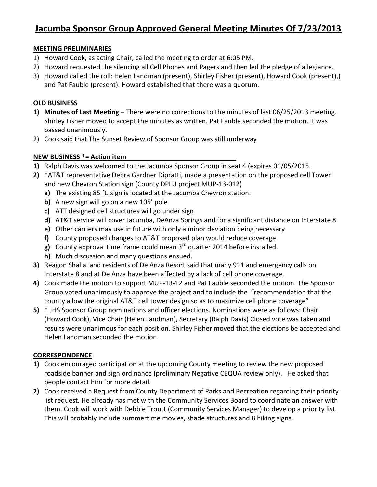## **Jacumba Sponsor Group Approved General Meeting Minutes Of 7/23/2013**

#### **MEETING PRELIMINARIES**

- 1) Howard Cook, as acting Chair, called the meeting to order at 6:05 PM.
- 2) Howard requested the silencing all Cell Phones and Pagers and then led the pledge of allegiance.
- 3) Howard called the roll: Helen Landman (present), Shirley Fisher (present), Howard Cook (present),) and Pat Fauble (present). Howard established that there was a quorum.

## **OLD BUSINESS**

- **1) Minutes of Last Meeting** There were no corrections to the minutes of last 06/25/2013 meeting. Shirley Fisher moved to accept the minutes as written. Pat Fauble seconded the motion. It was passed unanimously.
- 2) Cook said that The Sunset Review of Sponsor Group was still underway

## **NEW BUSINESS \*= Action item**

- **1)** Ralph Davis was welcomed to the Jacumba Sponsor Group in seat 4 (expires 01/05/2015.
- **2)** \*AT&T representative Debra Gardner Dipratti, made a presentation on the proposed cell Tower and new Chevron Station sign (County DPLU project MUP-13-012)
	- **a)** The existing 85 ft. sign is located at the Jacumba Chevron station.
	- **b)** A new sign will go on a new 105' pole
	- **c)** ATT designed cell structures will go under sign
	- **d)** AT&T service will cover Jacumba, DeAnza Springs and for a significant distance on Interstate 8.
	- **e)** Other carriers may use in future with only a minor deviation being necessary
	- **f)** County proposed changes to AT&T proposed plan would reduce coverage.
	- **g)** County approval time frame could mean 3rd quarter 2014 before installed.
	- **h)** Much discussion and many questions ensued.
- **3)** Reagon Shallal and residents of De Anza Resort said that many 911 and emergency calls on Interstate 8 and at De Anza have been affected by a lack of cell phone coverage.
- **4)** Cook made the motion to support MUP-13-12 and Pat Fauble seconded the motion. The Sponsor Group voted unanimously to approve the project and to include the "recommendation that the county allow the original AT&T cell tower design so as to maximize cell phone coverage"
- **5)** \* JHS Sponsor Group nominations and officer elections. Nominations were as follows: Chair (Howard Cook), Vice Chair (Helen Landman), Secretary (Ralph Davis) Closed vote was taken and results were unanimous for each position. Shirley Fisher moved that the elections be accepted and Helen Landman seconded the motion.

## **CORRESPONDENCE**

- **1)** Cook encouraged participation at the upcoming County meeting to review the new proposed roadside banner and sign ordinance (preliminary Negative CEQUA review only). He asked that people contact him for more detail.
- **2)** Cook received a Request from County Department of Parks and Recreation regarding their priority list request. He already has met with the Community Services Board to coordinate an answer with them. Cook will work with Debbie Troutt (Community Services Manager) to develop a priority list. This will probably include summertime movies, shade structures and 8 hiking signs.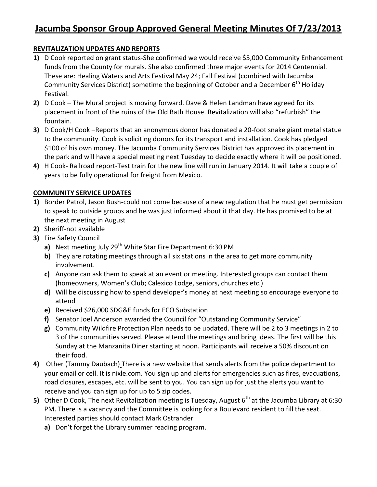# **Jacumba Sponsor Group Approved General Meeting Minutes Of 7/23/2013**

## **REVITALIZATION UPDATES AND REPORTS**

- **1)** D Cook reported on grant status-She confirmed we would receive \$5,000 Community Enhancement funds from the County for murals. She also confirmed three major events for 2014 Centennial. These are: Healing Waters and Arts Festival May 24; Fall Festival (combined with Jacumba Community Services District) sometime the beginning of October and a December  $6<sup>th</sup>$  Holiday Festival.
- **2)** D Cook The Mural project is moving forward. Dave & Helen Landman have agreed for its placement in front of the ruins of the Old Bath House. Revitalization will also "refurbish" the fountain.
- **3)** D Cook/H Cook –Reports that an anonymous donor has donated a 20-foot snake giant metal statue to the community. Cook is soliciting donors for its transport and installation. Cook has pledged \$100 of his own money. The Jacumba Community Services District has approved its placement in the park and will have a special meeting next Tuesday to decide exactly where it will be positioned.
- **4)** H Cook- Railroad report-Test train for the new line will run in January 2014. It will take a couple of years to be fully operational for freight from Mexico.

## **COMMUNITY SERVICE UPDATES**

- **1)** Border Patrol, Jason Bush-could not come because of a new regulation that he must get permission to speak to outside groups and he was just informed about it that day. He has promised to be at the next meeting in August
- **2)** Sheriff-not available
- **3)** Fire Safety Council
	- **a)** Next meeting July 29<sup>th</sup> White Star Fire Department 6:30 PM
	- **b)** They are rotating meetings through all six stations in the area to get more community involvement.
	- **c)** Anyone can ask them to speak at an event or meeting. Interested groups can contact them (homeowners, Women's Club; Calexico Lodge, seniors, churches etc.)
	- **d)** Will be discussing how to spend developer's money at next meeting so encourage everyone to attend
	- **e)** Received \$26,000 SDG&E funds for ECO Substation
	- **f)** Senator Joel Anderson awarded the Council for "Outstanding Community Service"
	- **g)** Community Wildfire Protection Plan needs to be updated. There will be 2 to 3 meetings in 2 to 3 of the communities served. Please attend the meetings and bring ideas. The first will be this Sunday at the Manzanita Diner starting at noon. Participants will receive a 50% discount on their food.
- **4)** Other (Tammy Daubach) There is a new website that sends alerts from the police department to your email or cell. It is nixle.com. You sign up and alerts for emergencies such as fires, evacuations, road closures, escapes, etc. will be sent to you. You can sign up for just the alerts you want to receive and you can sign up for up to 5 zip codes.
- **5)** Other D Cook, The next Revitalization meeting is Tuesday, August 6<sup>th</sup> at the Jacumba Library at 6:30 PM. There is a vacancy and the Committee is looking for a Boulevard resident to fill the seat. Interested parties should contact Mark Ostrander
	- **a)** Don't forget the Library summer reading program.